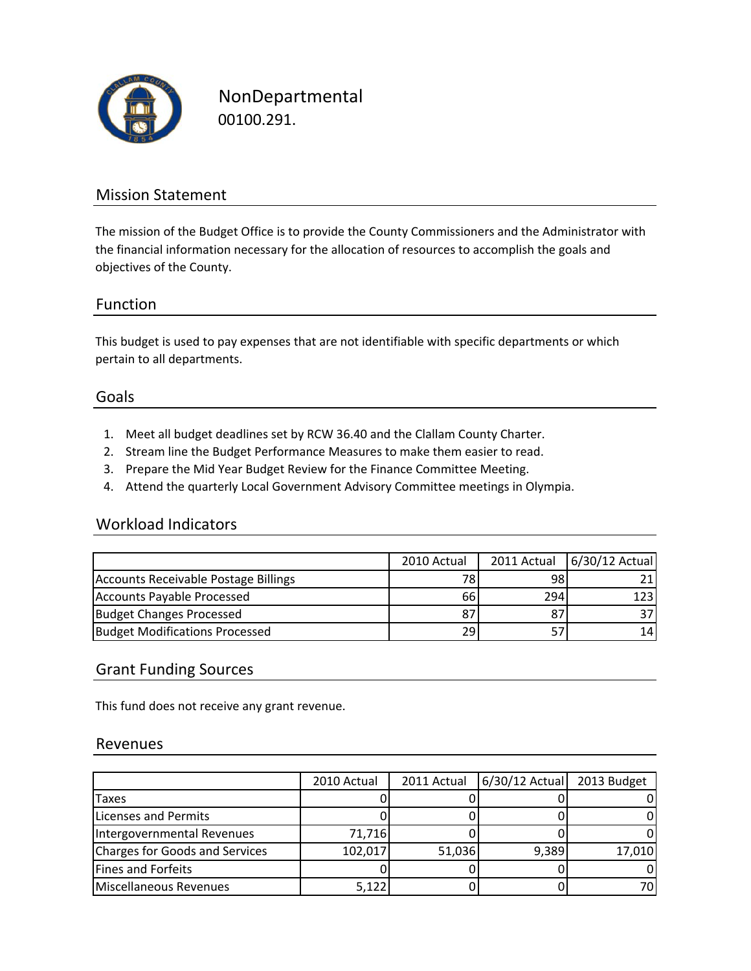

NonDepartmental 00100.291.

### Mission Statement

The mission of the Budget Office is to provide the County Commissioners and the Administrator with the financial information necessary for the allocation of resources to accomplish the goals and objectives of the County.

### Function

This budget is used to pay expenses that are not identifiable with specific departments or which pertain to all departments.

#### Goals

- 1. Meet all budget deadlines set by RCW 36.40 and the Clallam County Charter.
- 2. Stream line the Budget Performance Measures to make them easier to read.
- 3. Prepare the Mid Year Budget Review for the Finance Committee Meeting.
- 4. Attend the quarterly Local Government Advisory Committee meetings in Olympia.

### Workload Indicators

|                                       | 2010 Actual | 2011 Actual | 6/30/12 Actual |
|---------------------------------------|-------------|-------------|----------------|
| Accounts Receivable Postage Billings  | 781         | 98          |                |
| Accounts Payable Processed            | 66I         | 294         | 123            |
| Budget Changes Processed              | 87          |             |                |
| <b>Budget Modifications Processed</b> | 291         |             | 14             |

#### Grant Funding Sources

This fund does not receive any grant revenue.

#### Revenues

|                                | 2010 Actual | 2011 Actual | $6/30/12$ Actual | 2013 Budget |
|--------------------------------|-------------|-------------|------------------|-------------|
| <b>Taxes</b>                   |             |             |                  |             |
| Licenses and Permits           |             |             |                  |             |
| Intergovernmental Revenues     | 71,716      |             |                  |             |
| Charges for Goods and Services | 102,017     | 51,036      | 9,389            | 17,010      |
| <b>Fines and Forfeits</b>      |             |             |                  |             |
| Miscellaneous Revenues         | 5.122       |             |                  | 70I         |